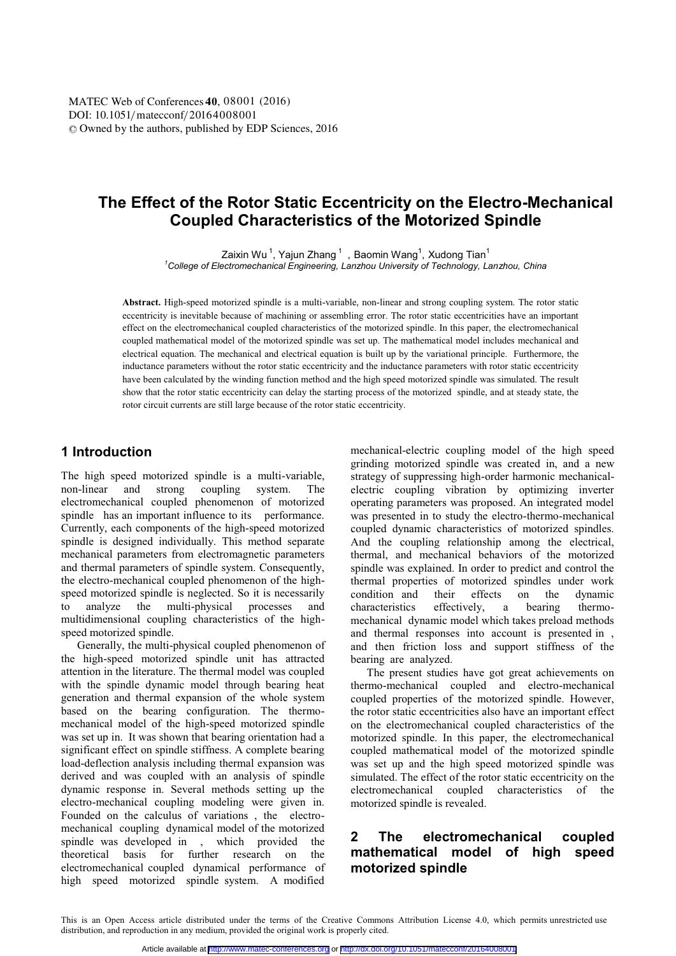# **The Effect of the Rotor Static Eccentricity on the Electro-Mechanical Coupled Characteristics of the Motorized Spindle**

Zaixin Wu  $^1$ , Yajun Zhang  $^1\,$  , Baomin Wang $^1\,$ , Xudong Tian $^1$ 

*1 College of Electromechanical Engineering, Lanzhou University of Technology, Lanzhou, China* 

**Abstract.** High-speed motorized spindle is a multi-variable, non-linear and strong coupling system. The rotor static eccentricity is inevitable because of machining or assembling error. The rotor static eccentricities have an important effect on the electromechanical coupled characteristics of the motorized spindle. In this paper, the electromechanical coupled mathematical model of the motorized spindle was set up. The mathematical model includes mechanical and electrical equation. The mechanical and electrical equation is built up by the variational principle. Furthermore, the inductance parameters without the rotor static eccentricity and the inductance parameters with rotor static eccentricity have been calculated by the winding function method and the high speed motorized spindle was simulated. The result show that the rotor static eccentricity can delay the starting process of the motorized spindle, and at steady state, the rotor circuit currents are still large because of the rotor static eccentricity.

### **1 Introduction**

The high speed motorized spindle is a multi-variable, non-linear and strong coupling system. The electromechanical coupled phenomenon of motorized spindle has an important influence to its performance. Currently, each components of the high-speed motorized spindle is designed individually. This method separate mechanical parameters from electromagnetic parameters and thermal parameters of spindle system. Consequently, the electro-mechanical coupled phenomenon of the highspeed motorized spindle is neglected. So it is necessarily to analyze the multi-physical processes and multidimensional coupling characteristics of the highspeed motorized spindle.

Generally, the multi-physical coupled phenomenon of the high-speed motorized spindle unit has attracted attention in the literature. The thermal model was coupled with the spindle dynamic model through bearing heat generation and thermal expansion of the whole system based on the bearing configuration. The thermomechanical model of the high-speed motorized spindle was set up in. It was shown that bearing orientation had a significant effect on spindle stiffness. A complete bearing load-deflection analysis including thermal expansion was derived and was coupled with an analysis of spindle dynamic response in. Several methods setting up the electro-mechanical coupling modeling were given in. Founded on the calculus of variations , the electromechanical coupling dynamical model of the motorized spindle was developed in , which provided the theoretical basis for further research on the electromechanical coupled dynamical performance of high speed motorized spindle system. A modified

mechanical-electric coupling model of the high speed grinding motorized spindle was created in, and a new strategy of suppressing high-order harmonic mechanicalelectric coupling vibration by optimizing inverter operating parameters was proposed. An integrated model was presented in to study the electro-thermo-mechanical coupled dynamic characteristics of motorized spindles. And the coupling relationship among the electrical, thermal, and mechanical behaviors of the motorized spindle was explained. In order to predict and control the thermal properties of motorized spindles under work condition and their effects on the dynamic characteristics effectively, a bearing thermomechanical dynamic model which takes preload methods and thermal responses into account is presented in , and then friction loss and support stiffness of the bearing are analyzed.

The present studies have got great achievements on thermo-mechanical coupled and electro-mechanical coupled properties of the motorized spindle. However, the rotor static eccentricities also have an important effect on the electromechanical coupled characteristics of the motorized spindle. In this paper, the electromechanical coupled mathematical model of the motorized spindle was set up and the high speed motorized spindle was simulated. The effect of the rotor static eccentricity on the electromechanical coupled characteristics of the motorized spindle is revealed.

## **2 The electromechanical coupled mathematical model of high speed motorized spindle**

This is an Open Access article distributed under the terms of the Creative Commons Attribution License 4.0, which permits unrestricted use distribution, and reproduction in any medium, provided the original work is properly cited.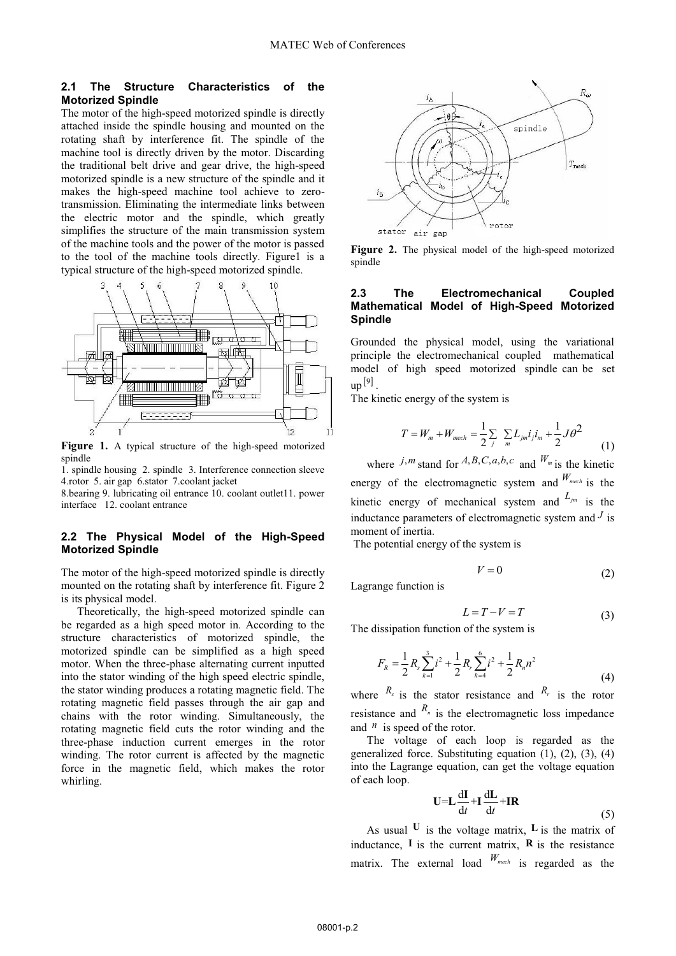#### **2.1 The Structure Characteristics of the Motorized Spindle**

The motor of the high-speed motorized spindle is directly attached inside the spindle housing and mounted on the rotating shaft by interference fit. The spindle of the machine tool is directly driven by the motor. Discarding the traditional belt drive and gear drive, the high-speed motorized spindle is a new structure of the spindle and it makes the high-speed machine tool achieve to zerotransmission. Eliminating the intermediate links between the electric motor and the spindle, which greatly simplifies the structure of the main transmission system of the machine tools and the power of the motor is passed to the tool of the machine tools directly. Figure1 is a typical structure of the high-speed motorized spindle.



**Figure 1.** A typical structure of the high-speed motorized spindle

1. spindle housing 2. spindle 3. Interference connection sleeve 4.rotor 5. air gap 6.stator 7.coolant jacket

8.bearing 9. lubricating oil entrance 10. coolant outlet11. power interface 12. coolant entrance

#### **2.2 The Physical Model of the High-Speed Motorized Spindle**

The motor of the high-speed motorized spindle is directly mounted on the rotating shaft by interference fit. Figure 2 is its physical model.

Theoretically, the high-speed motorized spindle can be regarded as a high speed motor in. According to the structure characteristics of motorized spindle, the motorized spindle can be simplified as a high speed motor. When the three-phase alternating current inputted into the stator winding of the high speed electric spindle, the stator winding produces a rotating magnetic field. The rotating magnetic field passes through the air gap and chains with the rotor winding. Simultaneously, the rotating magnetic field cuts the rotor winding and the three-phase induction current emerges in the rotor winding. The rotor current is affected by the magnetic force in the magnetic field, which makes the rotor whirling.



**Figure 2.** The physical model of the high-speed motorized spindle

#### **2.3 The Electromechanical Coupled Mathematical Model of High-Speed Motorized Spindle**

Grounded the physical model, using the variational principle the electromechanical coupled mathematical model of high speed motorized spindle can be set  $up^{[9]}$ .

The kinetic energy of the system is

$$
T = W_m + W_{mech} = \frac{1}{2} \sum_{j} \sum_{m} L_{jm} i_j i_m + \frac{1}{2} J \theta^2
$$
 (1)

where *j*,*m*, stand for *A,B,C,a,b,c* and  $W_m$  is the kinetic energy of the electromagnetic system and  $W_{mech}$  is the kinetic energy of mechanical system and  $L_{jm}$  is the inductance parameters of electromagnetic system and  $<sup>J</sup>$  is</sup> moment of inertia.

The potential energy of the system is

$$
V = 0 \tag{2}
$$

Lagrange function is

$$
L = T - V = T \tag{3}
$$

The dissipation function of the system is

$$
F_R = \frac{1}{2} R_s \sum_{k=1}^3 i^2 + \frac{1}{2} R_r \sum_{k=4}^6 i^2 + \frac{1}{2} R_n n^2
$$
 (4)

where  $R_s$  is the stator resistance and  $R_r$  is the rotor resistance and  $R_n$  is the electromagnetic loss impedance and  $^n$  is speed of the rotor.

The voltage of each loop is regarded as the generalized force. Substituting equation  $(1)$ ,  $(2)$ ,  $(3)$ ,  $(4)$ into the Lagrange equation, can get the voltage equation of each loop.

$$
U = L \frac{dI}{dt} + I \frac{dL}{dt} + IR
$$
 (5)

As usual  $U$  is the voltage matrix,  $L$  is the matrix of inductance,  $\bf{I}$  is the current matrix,  $\bf{R}$  is the resistance matrix. The external load *Wmech* is regarded as the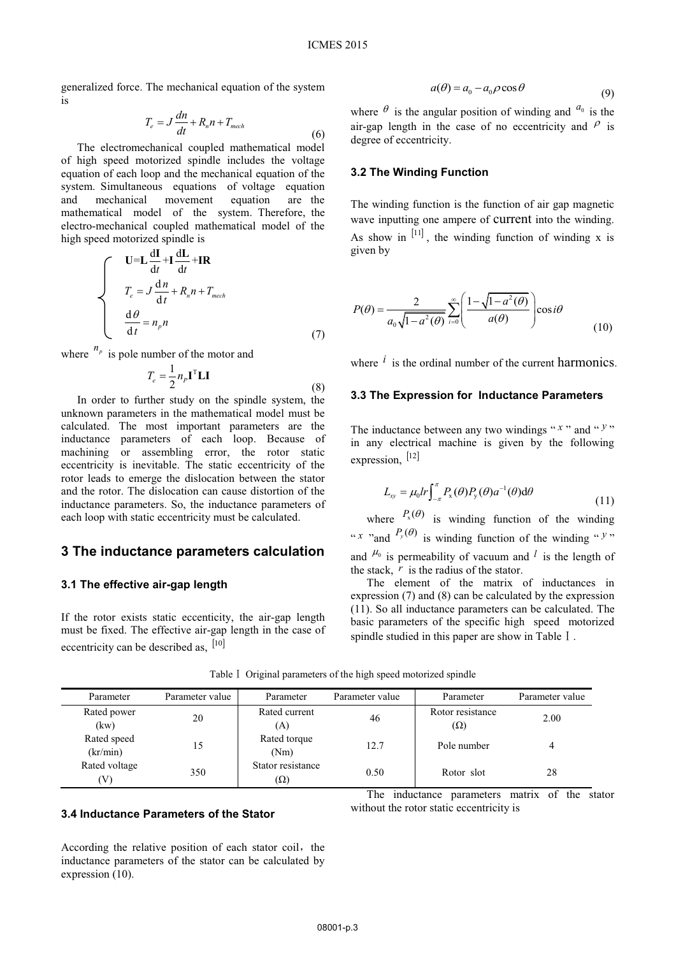generalized force. The mechanical equation of the system is

$$
T_e = J\frac{dn}{dt} + R_n n + T_{mech}
$$
\n(6)

The electromechanical coupled mathematical model of high speed motorized spindle includes the voltage equation of each loop and the mechanical equation of the system. Simultaneous equations of voltage equation and mechanical movement equation are the mathematical model of the system. Therefore, the electro-mechanical coupled mathematical model of the high speed motorized spindle is

$$
\begin{cases}\n\mathbf{U} = \mathbf{L} \frac{d\mathbf{I}}{dt} + \mathbf{I} \frac{d\mathbf{L}}{dt} + \mathbf{I} \mathbf{R} \\
T_e = J \frac{d\mathbf{n}}{dt} + R_n \mathbf{n} + T_{mech} \\
\frac{d\theta}{dt} = n_p \mathbf{n}\n\end{cases} \tag{7}
$$

where  $n_p$  is pole number of the motor and

$$
T_e = \frac{1}{2} n_p \mathbf{I}^{\mathrm{T}} \mathbf{L} \mathbf{I}
$$
 (8)

In order to further study on the spindle system, the unknown parameters in the mathematical model must be calculated. The most important parameters are the inductance parameters of each loop. Because of machining or assembling error, the rotor static eccentricity is inevitable. The static eccentricity of the rotor leads to emerge the dislocation between the stator and the rotor. The dislocation can cause distortion of the inductance parameters. So, the inductance parameters of each loop with static eccentricity must be calculated.

### **3 The inductance parameters calculation**

#### **3.1 The effective air-gap length**

If the rotor exists static eccenticity, the air-gap length must be fixed. The effective air-gap length in the case of eccentricity can be described as,  $[10]$ 

$$
a(\theta) = a_0 - a_0 \rho \cos \theta \tag{9}
$$

where  $\theta$  is the angular position of winding and  $a_0$  is the air-gap length in the case of no eccentricity and  $\beta$  is degree of eccentricity.

#### **3.2 The Winding Function**

The winding function is the function of air gap magnetic wave inputting one ampere of current into the winding. As show in  $[11]$ , the winding function of winding x is given by

$$
P(\theta) = \frac{2}{a_0 \sqrt{1 - a^2(\theta)}} \sum_{i=0}^{\infty} \left( \frac{1 - \sqrt{1 - a^2(\theta)}}{a(\theta)} \right) \cos i\theta \tag{10}
$$

where  $\hat{i}$  is the ordinal number of the current harmonics.

#### **3.3 The Expression for Inductance Parameters**

The inductance between any two windings " $x$ " and " $y$ " in any electrical machine is given by the following expression, [12]

$$
L_{xy} = \mu_0 lr \int_{-\pi}^{\pi} P_x(\theta) P_y(\theta) a^{-1}(\theta) d\theta
$$
\n(11)

where  $P_x(\theta)$  is winding function of the winding " *x* "and  $P_y(\theta)$  is winding function of the winding " *y*" and  $\mu_0$  is permeability of vacuum and <sup>*l*</sup> is the length of the stack,  $r$  is the radius of the stator.

The element of the matrix of inductances in expression (7) and (8) can be calculated by the expression (11). So all inductance parameters can be calculated. The basic parameters of the specific high speed motorized spindle studied in this paper are show in Table  $I$ .

without the rotor static eccentricity is

| Parameter               | Parameter value | Parameter                       | Parameter value | Parameter                      | Parameter value            |
|-------------------------|-----------------|---------------------------------|-----------------|--------------------------------|----------------------------|
| Rated power<br>(kw)     | 20              | Rated current<br>(A)            | 46              | Rotor resistance<br>$(\Omega)$ | 2.00                       |
| Rated speed<br>(kr/min) | 15              | Rated torque<br>(Nm)            | 12.7            | Pole number                    |                            |
| Rated voltage<br>V)     | 350             | Stator resistance<br>$(\Omega)$ | 0.50            | Rotor slot                     | 28                         |
|                         |                 |                                 | The             | inductance<br>parameters       | matrix of<br>stator<br>the |

Table I Original parameters of the high speed motorized spindle

#### **3.4 Inductance Parameters of the Stator**

According the relative position of each stator coil, the inductance parameters of the stator can be calculated by expression (10).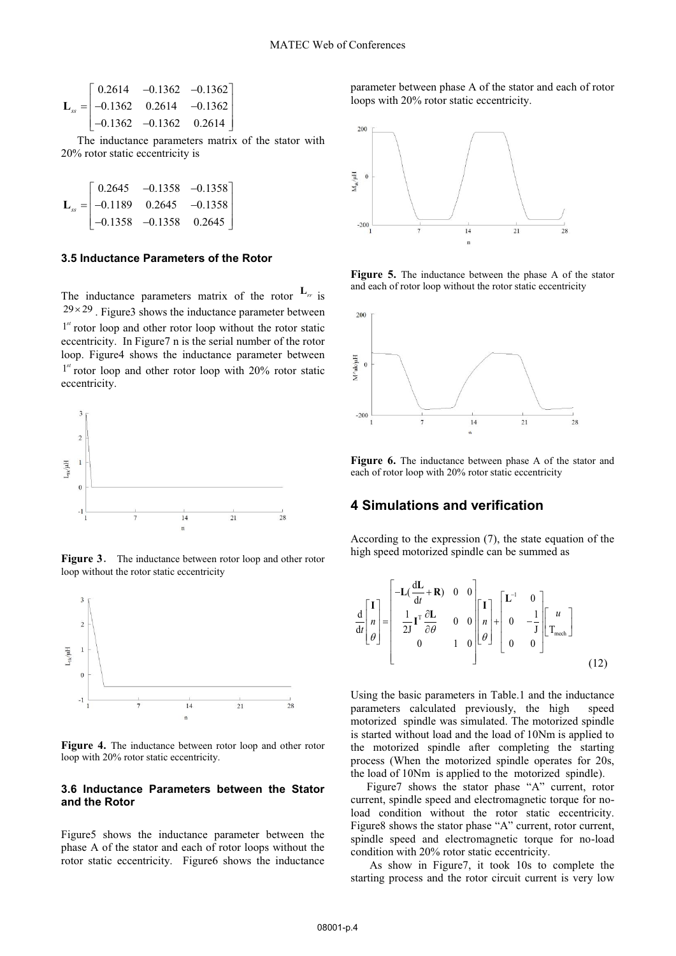$$
\mathbf{L}_{ss} = \begin{bmatrix} 0.2614 & -0.1362 & -0.1362 \\ -0.1362 & 0.2614 & -0.1362 \\ -0.1362 & -0.1362 & 0.2614 \end{bmatrix}
$$

 The inductance parameters matrix of the stator with 20% rotor static eccentricity is

$$
\mathbf{L}_{ss} = \begin{bmatrix} 0.2645 & -0.1358 & -0.1358 \\ -0.1189 & 0.2645 & -0.1358 \\ -0.1358 & -0.1358 & 0.2645 \end{bmatrix}
$$

#### **3.5 Inductance Parameters of the Rotor**

The inductance parameters matrix of the rotor  $L_r$  is  $29 \times 29$ . Figure 3 shows the inductance parameter between <sup>1st</sup> rotor loop and other rotor loop without the rotor static eccentricity. In Figure7 n is the serial number of the rotor loop. Figure4 shows the inductance parameter between <sup>1st</sup> rotor loop and other rotor loop with 20% rotor static eccentricity.



**Figure 3.** The inductance between rotor loop and other rotor loop without the rotor static eccentricity



Figure 4. The inductance between rotor loop and other rotor loop with 20% rotor static eccentricity.

#### **3.6 Inductance Parameters between the Stator and the Rotor**

Figure5 shows the inductance parameter between the phase A of the stator and each of rotor loops without the rotor static eccentricity. Figure6 shows the inductance parameter between phase A of the stator and each of rotor loops with 20% rotor static eccentricity.



**Figure 5.** The inductance between the phase A of the stator and each of rotor loop without the rotor static eccentricity



**Figure 6.** The inductance between phase A of the stator and each of rotor loop with 20% rotor static eccentricity

### **4 Simulations and verification**

According to the expression (7), the state equation of the high speed motorized spindle can be summed as

$$
\frac{d}{dt} \begin{bmatrix} I \\ n \\ \theta \end{bmatrix} = \begin{bmatrix} -L(\frac{dL}{dt} + R) & 0 & 0 \\ \frac{1}{2J}I^T \frac{\partial L}{\partial \theta} & 0 & 0 \\ 0 & 1 & 0 \end{bmatrix} \begin{bmatrix} I \\ n \\ \theta \end{bmatrix} + \begin{bmatrix} L^{-1} & 0 \\ 0 & -\frac{1}{J} \\ 0 & 0 \end{bmatrix} \begin{bmatrix} u \\ T_{\text{mech}} \end{bmatrix}
$$
(12)

Using the basic parameters in Table.1 and the inductance parameters calculated previously, the high speed motorized spindle was simulated. The motorized spindle is started without load and the load of 10Nm is applied to the motorized spindle after completing the starting process (When the motorized spindle operates for 20s, the load of 10Nm is applied to the motorized spindle).

Figure7 shows the stator phase "A" current, rotor current, spindle speed and electromagnetic torque for noload condition without the rotor static eccentricity. Figure8 shows the stator phase "A" current, rotor current, spindle speed and electromagnetic torque for no-load condition with 20% rotor static eccentricity.

 As show in Figure7, it took 10s to complete the starting process and the rotor circuit current is very low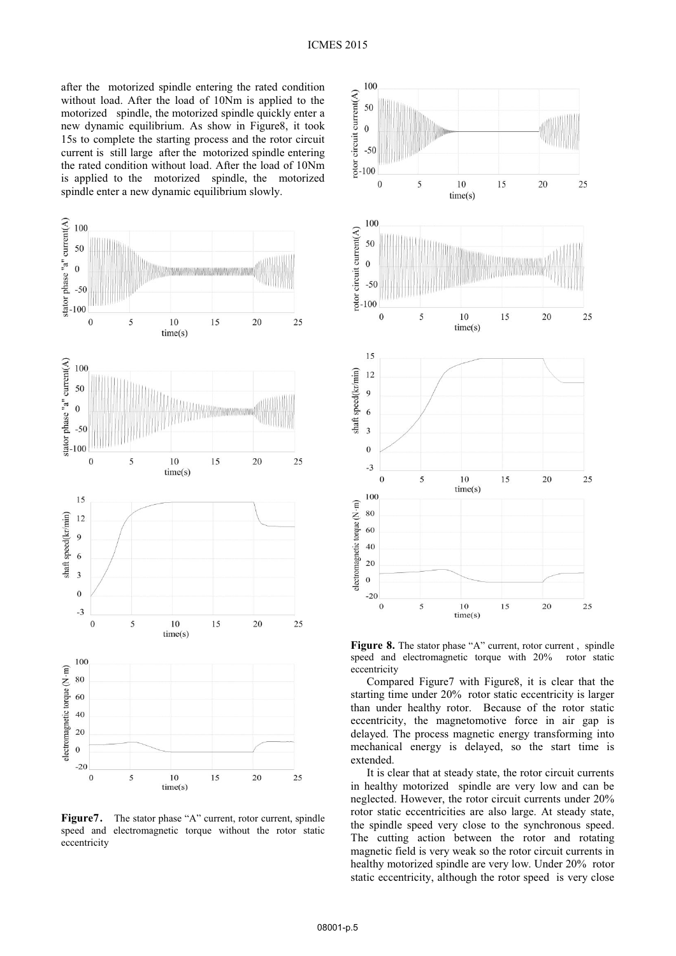after the motorized spindle entering the rated condition without load. After the load of 10Nm is applied to the motorized spindle, the motorized spindle quickly enter a new dynamic equilibrium. As show in Figure8, it took 15s to complete the starting process and the rotor circuit current is still large after the motorized spindle entering the rated condition without load. After the load of 10Nm is applied to the motorized spindle, the motorized spindle enter a new dynamic equilibrium slowly.



**Figure7.** The stator phase "A" current, rotor current, spindle speed and electromagnetic torque without the rotor static eccentricity



**Figure 8.** The stator phase "A" current, rotor current, spindle speed and electromagnetic torque with 20% rotor static speed and electromagnetic torque with  $20\%$ eccentricity

Compared Figure7 with Figure8, it is clear that the starting time under 20% rotor static eccentricity is larger than under healthy rotor. Because of the rotor static eccentricity, the magnetomotive force in air gap is delayed. The process magnetic energy transforming into mechanical energy is delayed, so the start time is extended.

It is clear that at steady state, the rotor circuit currents in healthy motorized spindle are very low and can be neglected. However, the rotor circuit currents under 20% rotor static eccentricities are also large. At steady state, the spindle speed very close to the synchronous speed. The cutting action between the rotor and rotating magnetic field is very weak so the rotor circuit currents in healthy motorized spindle are very low. Under 20% rotor static eccentricity, although the rotor speed is very close